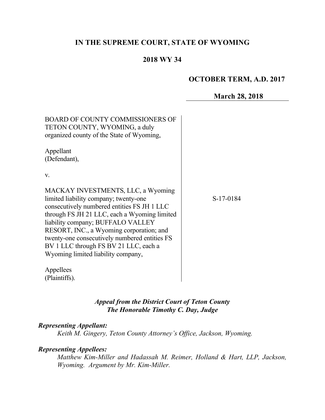# **IN THE SUPREME COURT, STATE OF WYOMING**

# **2018 WY 34**

## **OCTOBER TERM, A.D. 2017**

**March 28, 2018**

| <b>BOARD OF COUNTY COMMISSIONERS OF</b><br>TETON COUNTY, WYOMING, a duly<br>organized county of the State of Wyoming,                                                                                                                                                                                                                                                                       |           |
|---------------------------------------------------------------------------------------------------------------------------------------------------------------------------------------------------------------------------------------------------------------------------------------------------------------------------------------------------------------------------------------------|-----------|
| Appellant<br>(Defendant),                                                                                                                                                                                                                                                                                                                                                                   |           |
| V.                                                                                                                                                                                                                                                                                                                                                                                          |           |
| MACKAY INVESTMENTS, LLC, a Wyoming<br>limited liability company; twenty-one<br>consecutively numbered entities FS JH 1 LLC<br>through FS JH 21 LLC, each a Wyoming limited<br>liability company; BUFFALO VALLEY<br>RESORT, INC., a Wyoming corporation; and<br>twenty-one consecutively numbered entities FS<br>BV 1 LLC through FS BV 21 LLC, each a<br>Wyoming limited liability company, | S-17-0184 |
| Appellees                                                                                                                                                                                                                                                                                                                                                                                   |           |

(Plaintiffs).

# *Appeal from the District Court of Teton County The Honorable Timothy C. Day, Judge*

#### *Representing Appellant:*

*Keith M. Gingery, Teton County Attorney's Office, Jackson, Wyoming.*

### *Representing Appellees:*

*Matthew Kim-Miller and Hadassah M. Reimer, Holland & Hart, LLP, Jackson, Wyoming. Argument by Mr. Kim-Miller.*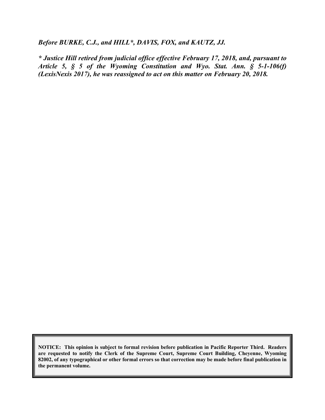*Before BURKE, C.J., and HILL\*, DAVIS, FOX, and KAUTZ, JJ.*

*\* Justice Hill retired from judicial office effective February 17, 2018, and, pursuant to Article 5, § 5 of the Wyoming Constitution and Wyo. Stat. Ann. § 5-1-106(f) (LexisNexis 2017), he was reassigned to act on this matter on February 20, 2018.*

**NOTICE: This opinion is subject to formal revision before publication in Pacific Reporter Third. Readers are requested to notify the Clerk of the Supreme Court, Supreme Court Building, Cheyenne, Wyoming 82002, of any typographical or other formal errors so that correction may be made before final publication in the permanent volume.**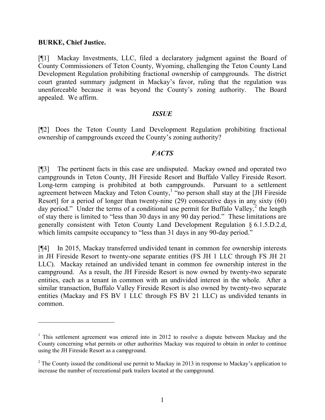#### **BURKE, Chief Justice.**

[¶1] Mackay Investments, LLC, filed a declaratory judgment against the Board of County Commissioners of Teton County, Wyoming, challenging the Teton County Land Development Regulation prohibiting fractional ownership of campgrounds. The district court granted summary judgment in Mackay's favor, ruling that the regulation was unenforceable because it was beyond the County's zoning authority. The Board appealed. We affirm.

### *ISSUE*

[¶2] Does the Teton County Land Development Regulation prohibiting fractional ownership of campgrounds exceed the County's zoning authority?

### *FACTS*

[¶3] The pertinent facts in this case are undisputed. Mackay owned and operated two campgrounds in Teton County, JH Fireside Resort and Buffalo Valley Fireside Resort. Long-term camping is prohibited at both campgrounds. Pursuant to a settlement agreement between Mackay and Teton County,<sup>1</sup> "no person shall stay at the [JH Fireside Resort] for a period of longer than twenty-nine (29) consecutive days in any sixty (60) day period." Under the terms of a conditional use permit for Buffalo Valley,<sup>2</sup> the length of stay there is limited to "less than 30 days in any 90 day period." These limitations are generally consistent with Teton County Land Development Regulation § 6.1.5.D.2.d, which limits campsite occupancy to "less than 31 days in any 90-day period."

[¶4] In 2015, Mackay transferred undivided tenant in common fee ownership interests in JH Fireside Resort to twenty-one separate entities (FS JH 1 LLC through FS JH 21 LLC). Mackay retained an undivided tenant in common fee ownership interest in the campground. As a result, the JH Fireside Resort is now owned by twenty-two separate entities, each as a tenant in common with an undivided interest in the whole. After a similar transaction, Buffalo Valley Fireside Resort is also owned by twenty-two separate entities (Mackay and FS BV 1 LLC through FS BV 21 LLC) as undivided tenants in common.

 $1$  This settlement agreement was entered into in 2012 to resolve a dispute between Mackay and the County concerning what permits or other authorities Mackay was required to obtain in order to continue using the JH Fireside Resort as a campground.

 $2$  The County issued the conditional use permit to Mackay in 2013 in response to Mackay's application to increase the number of recreational park trailers located at the campground.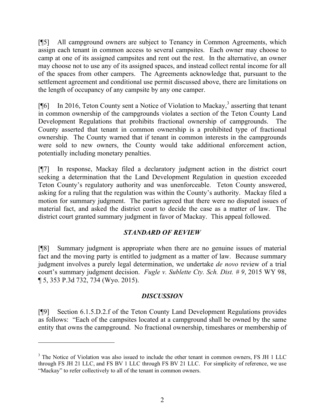[¶5] All campground owners are subject to Tenancy in Common Agreements, which assign each tenant in common access to several campsites. Each owner may choose to camp at one of its assigned campsites and rent out the rest. In the alternative, an owner may choose not to use any of its assigned spaces, and instead collect rental income for all of the spaces from other campers. The Agreements acknowledge that, pursuant to the settlement agreement and conditional use permit discussed above, there are limitations on the length of occupancy of any campsite by any one camper.

[ $[$ [6] In 2016, Teton County sent a Notice of Violation to Mackay,<sup>3</sup> asserting that tenant in common ownership of the campgrounds violates a section of the Teton County Land Development Regulations that prohibits fractional ownership of campgrounds. The County asserted that tenant in common ownership is a prohibited type of fractional ownership. The County warned that if tenant in common interests in the campgrounds were sold to new owners, the County would take additional enforcement action, potentially including monetary penalties.

[¶7] In response, Mackay filed a declaratory judgment action in the district court seeking a determination that the Land Development Regulation in question exceeded Teton County's regulatory authority and was unenforceable. Teton County answered, asking for a ruling that the regulation was within the County's authority. Mackay filed a motion for summary judgment. The parties agreed that there were no disputed issues of material fact, and asked the district court to decide the case as a matter of law. The district court granted summary judgment in favor of Mackay. This appeal followed.

## *STANDARD OF REVIEW*

[¶8] Summary judgment is appropriate when there are no genuine issues of material fact and the moving party is entitled to judgment as a matter of law. Because summary judgment involves a purely legal determination, we undertake *de novo* review of a trial court's summary judgment decision. *Fugle v. Sublette Cty. Sch. Dist. # 9*, 2015 WY 98, ¶ 5, 353 P.3d 732, 734 (Wyo. 2015).

#### *DISCUSSION*

[¶9] Section 6.1.5.D.2.f of the Teton County Land Development Regulations provides as follows: "Each of the campsites located at a campground shall be owned by the same entity that owns the campground. No fractional ownership, timeshares or membership of

 $\overline{a}$ 

<sup>&</sup>lt;sup>3</sup> The Notice of Violation was also issued to include the other tenant in common owners, FS JH 1 LLC through FS JH 21 LLC, and FS BV 1 LLC through FS BV 21 LLC. For simplicity of reference, we use "Mackay" to refer collectively to all of the tenant in common owners.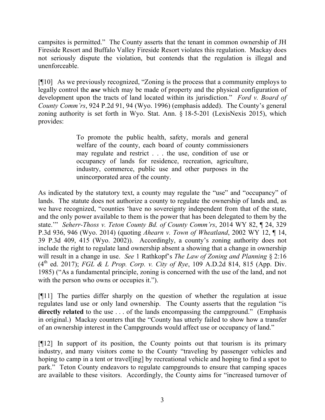campsites is permitted." The County asserts that the tenant in common ownership of JH Fireside Resort and Buffalo Valley Fireside Resort violates this regulation. Mackay does not seriously dispute the violation, but contends that the regulation is illegal and unenforceable.

[¶10] As we previously recognized, "Zoning is the process that a community employs to legally control the *use* which may be made of property and the physical configuration of development upon the tracts of land located within its jurisdiction." *Ford v. Board of County Comm'rs*, 924 P.2d 91, 94 (Wyo. 1996) (emphasis added). The County's general zoning authority is set forth in Wyo. Stat. Ann. § 18-5-201 (LexisNexis 2015), which provides:

> To promote the public health, safety, morals and general welfare of the county, each board of county commissioners may regulate and restrict . . . the use, condition of use or occupancy of lands for residence, recreation, agriculture, industry, commerce, public use and other purposes in the unincorporated area of the county.

As indicated by the statutory text, a county may regulate the "use" and "occupancy" of lands. The statute does not authorize a county to regulate the ownership of lands and, as we have recognized, "counties 'have no sovereignty independent from that of the state, and the only power available to them is the power that has been delegated to them by the state.'" *Seherr-Thoss v. Teton County Bd. of County Comm'rs*, 2014 WY 82, ¶ 24, 329 P.3d 936, 946 (Wyo. 2014) (quoting *Ahearn v. Town of Wheatland*, 2002 WY 12, ¶ 14, 39 P.3d 409, 415 (Wyo. 2002)). Accordingly, a county's zoning authority does not include the right to regulate land ownership absent a showing that a change in ownership will result in a change in use. *See* 1 Rathkopf's *The Law of Zoning and Planning* § 2:16 (4th ed. 2017); *FGL & L Prop. Corp. v. City of Rye*, 109 A.D.2d 814, 815 (App. Div. 1985) ("As a fundamental principle, zoning is concerned with the use of the land, and not with the person who owns or occupies it.").

[¶11] The parties differ sharply on the question of whether the regulation at issue regulates land use or only land ownership. The County asserts that the regulation "is **directly related** to the use . . . of the lands encompassing the campground." (Emphasis in original.) Mackay counters that the "County has utterly failed to show how a transfer of an ownership interest in the Campgrounds would affect use or occupancy of land."

[¶12] In support of its position, the County points out that tourism is its primary industry, and many visitors come to the County "traveling by passenger vehicles and hoping to camp in a tent or travel[ing] by recreational vehicle and hoping to find a spot to park." Teton County endeavors to regulate campgrounds to ensure that camping spaces are available to these visitors. Accordingly, the County aims for "increased turnover of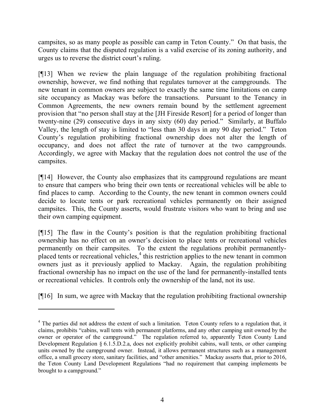campsites, so as many people as possible can camp in Teton County." On that basis, the County claims that the disputed regulation is a valid exercise of its zoning authority, and urges us to reverse the district court's ruling.

[¶13] When we review the plain language of the regulation prohibiting fractional ownership, however, we find nothing that regulates turnover at the campgrounds. The new tenant in common owners are subject to exactly the same time limitations on camp site occupancy as Mackay was before the transactions. Pursuant to the Tenancy in Common Agreements, the new owners remain bound by the settlement agreement provision that "no person shall stay at the [JH Fireside Resort] for a period of longer than twenty-nine (29) consecutive days in any sixty (60) day period." Similarly, at Buffalo Valley, the length of stay is limited to "less than 30 days in any 90 day period." Teton County's regulation prohibiting fractional ownership does not alter the length of occupancy, and does not affect the rate of turnover at the two campgrounds. Accordingly, we agree with Mackay that the regulation does not control the use of the campsites.

[¶14] However, the County also emphasizes that its campground regulations are meant to ensure that campers who bring their own tents or recreational vehicles will be able to find places to camp. According to the County, the new tenant in common owners could decide to locate tents or park recreational vehicles permanently on their assigned campsites. This, the County asserts, would frustrate visitors who want to bring and use their own camping equipment.

[¶15] The flaw in the County's position is that the regulation prohibiting fractional ownership has no effect on an owner's decision to place tents or recreational vehicles permanently on their campsites. To the extent the regulations prohibit permanentlyplaced tents or recreational vehicles, $<sup>4</sup>$  this restriction applies to the new tenant in common</sup> owners just as it previously applied to Mackay. Again, the regulation prohibiting fractional ownership has no impact on the use of the land for permanently-installed tents or recreational vehicles. It controls only the ownership of the land, not its use.

[¶16] In sum, we agree with Mackay that the regulation prohibiting fractional ownership

 $\overline{a}$ 

<sup>&</sup>lt;sup>4</sup> The parties did not address the extent of such a limitation. Teton County refers to a regulation that, it claims, prohibits "cabins, wall tents with permanent platforms, and any other camping unit owned by the owner or operator of the campground." The regulation referred to, apparently Teton County Land Development Regulation § 6.1.5.D.2.a, does not explicitly prohibit cabins, wall tents, or other camping units owned by the campground owner. Instead, it allows permanent structures such as a management office, a small grocery store, sanitary facilities, and "other amenities." Mackay asserts that, prior to 2016, the Teton County Land Development Regulations "had no requirement that camping implements be brought to a campground."